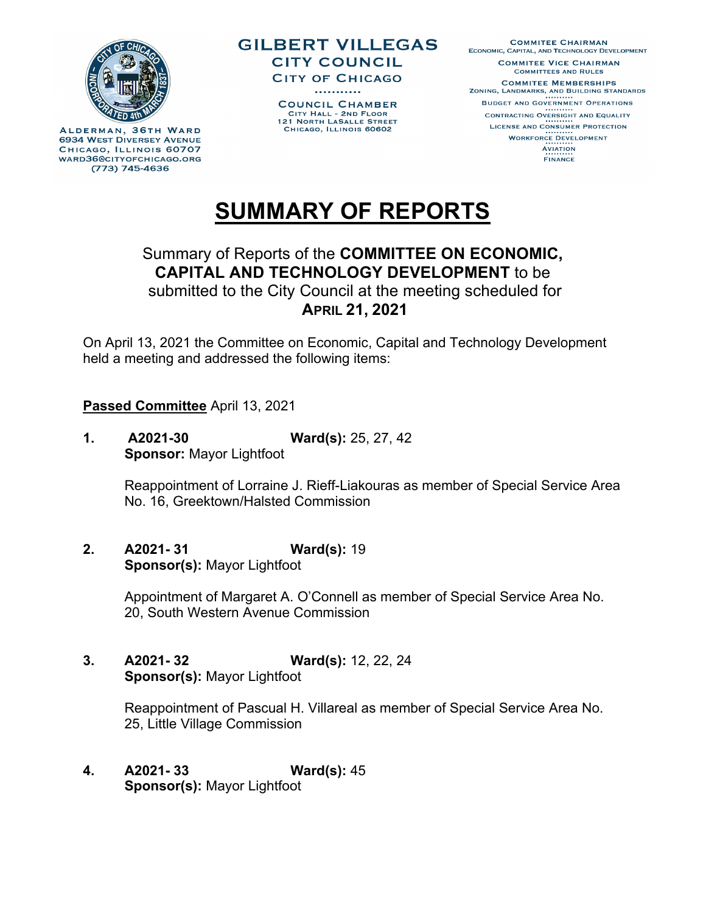

ALDERMAN, 36TH WARD **6934 WEST DIVERSEY AVENUE** CHICAGO, ILLINOIS 60707 WARD36@CITYOFCHICAGO.ORG (773) 745-4636





# **SUMMARY OF REPORTS**

## Summary of Reports of the **COMMITTEE ON ECONOMIC, CAPITAL AND TECHNOLOGY DEVELOPMENT** to be submitted to the City Council at the meeting scheduled for **APRIL 21, 2021**

On April 13, 2021 the Committee on Economic, Capital and Technology Development held a meeting and addressed the following items:

### **Passed Committee** April 13, 2021

**1. A2021-30 Ward(s):** 25, 27, 42 **Sponsor:** Mayor Lightfoot

> Reappointment of Lorraine J. Rieff-Liakouras as member of Special Service Area No. 16, Greektown/Halsted Commission

**2. A2021- 31 Ward(s):** 19 **Sponsor(s):** Mayor Lightfoot

> Appointment of Margaret A. O'Connell as member of Special Service Area No. 20, South Western Avenue Commission

**3. A2021- 32 Ward(s):** 12, 22, 24 **Sponsor(s):** Mayor Lightfoot

> Reappointment of Pascual H. Villareal as member of Special Service Area No. 25, Little Village Commission

**4. A2021- 33 Ward(s):** 45 **Sponsor(s):** Mayor Lightfoot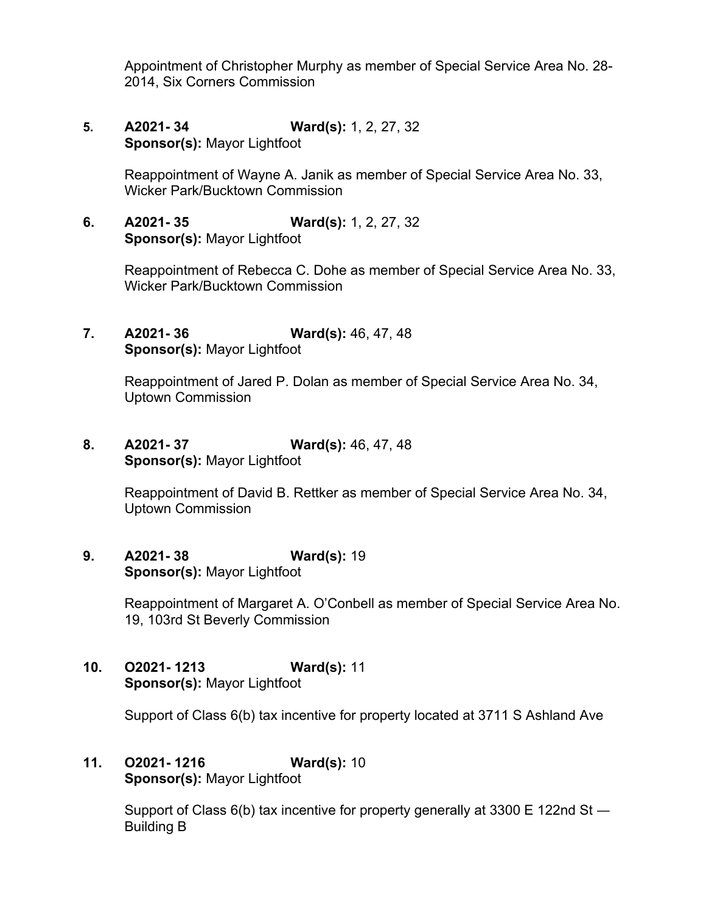Appointment of Christopher Murphy as member of Special Service Area No. 28- 2014, Six Corners Commission

**5. A2021- 34 Ward(s):** 1, 2, 27, 32 **Sponsor(s):** Mayor Lightfoot

> Reappointment of Wayne A. Janik as member of Special Service Area No. 33, Wicker Park/Bucktown Commission

**6. A2021- 35 Ward(s):** 1, 2, 27, 32 **Sponsor(s):** Mayor Lightfoot

> Reappointment of Rebecca C. Dohe as member of Special Service Area No. 33, Wicker Park/Bucktown Commission

**7. A2021- 36 Ward(s):** 46, 47, 48 **Sponsor(s):** Mayor Lightfoot

> Reappointment of Jared P. Dolan as member of Special Service Area No. 34, Uptown Commission

**8. A2021- 37 Ward(s):** 46, 47, 48 **Sponsor(s):** Mayor Lightfoot

> Reappointment of David B. Rettker as member of Special Service Area No. 34, Uptown Commission

**9. A2021- 38 Ward(s):** 19 **Sponsor(s):** Mayor Lightfoot

> Reappointment of Margaret A. O'Conbell as member of Special Service Area No. 19, 103rd St Beverly Commission

**10. O2021- 1213 Ward(s):** 11 **Sponsor(s):** Mayor Lightfoot

Support of Class 6(b) tax incentive for property located at 3711 S Ashland Ave

**11. O2021- 1216 Ward(s):** 10 **Sponsor(s):** Mayor Lightfoot

> Support of Class 6(b) tax incentive for property generally at 3300 E 122nd St — Building B